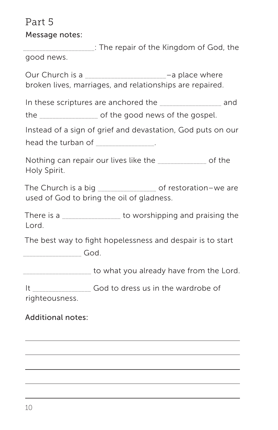# Part 5

Message notes:

\_\_\_\_\_\_\_\_\_\_\_\_\_\_\_\_\_\_\_\_\_\_: The repair of the Kingdom of God, the good news.

Our Church is a \_\_\_\_\_\_\_\_\_\_\_\_\_\_\_\_\_\_\_\_\_\_\_\_\_–a place where broken lives, marriages, and relationships are repaired.

In these scriptures are anchored the \_\_\_\_\_\_\_\_\_\_\_\_\_\_\_\_\_\_\_ and

the \_\_\_\_\_\_\_\_\_\_\_\_\_\_\_\_\_\_ of the good news of the gospel.

Instead of a sign of grief and devastation, God puts on our

head the turban of \_\_\_\_\_\_\_\_\_\_\_\_\_\_\_\_.

Nothing can repair our lives like the **Example 20** of the Holy Spirit.

The Church is a big \_\_\_\_\_\_\_\_\_\_\_\_\_\_\_\_\_\_\_\_\_\_\_ of restoration–we are used of God to bring the oil of gladness.

There is a There is a  $\sim$  to worshipping and praising the Lord.

The best way to fight hopelessness and despair is to start

\_\_\_\_\_\_\_\_\_\_\_\_\_\_\_\_\_\_ God.

to what you already have from the Lord.

It God to dress us in the wardrobe of righteousness.

## Additional notes: